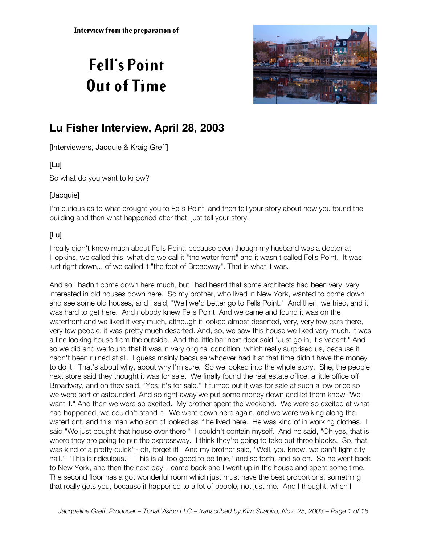# **Fell's Point Out of Time**



# **Lu Fisher Interview, April 28, 2003**

[Interviewers, Jacquie & Kraig Greff]

# [Lu]

So what do you want to know?

# [Jacquie]

I'm curious as to what brought you to Fells Point, and then tell your story about how you found the building and then what happened after that, just tell your story.

# [Lu]

I really didn't know much about Fells Point, because even though my husband was a doctor at Hopkins, we called this, what did we call it "the water front" and it wasn't called Fells Point. It was just right down,.. of we called it "the foot of Broadway". That is what it was.

And so I hadn't come down here much, but I had heard that some architects had been very, very interested in old houses down here. So my brother, who lived in New York, wanted to come down and see some old houses, and I said, "Well we'd better go to Fells Point." And then, we tried, and it was hard to get here. And nobody knew Fells Point. And we came and found it was on the waterfront and we liked it very much, although it looked almost deserted, very, very few cars there, very few people; it was pretty much deserted. And, so, we saw this house we liked very much, it was a fine looking house from the outside. And the little bar next door said "Just go in, it's vacant." And so we did and we found that it was in very original condition, which really surprised us, because it hadn't been ruined at all. I guess mainly because whoever had it at that time didn't have the money to do it. That's about why, about why I'm sure. So we looked into the whole story. She, the people next store said they thought it was for sale. We finally found the real estate office, a little office off Broadway, and oh they said, "Yes, it's for sale." It turned out it was for sale at such a low price so we were sort of astounded! And so right away we put some money down and let them know "We want it." And then we were so excited. My brother spent the weekend. We were so excited at what had happened, we couldn't stand it. We went down here again, and we were walking along the waterfront, and this man who sort of looked as if he lived here. He was kind of in working clothes. I said "We just bought that house over there." I couldn't contain myself. And he said, "Oh yes, that is where they are going to put the expressway. I think they're going to take out three blocks. So, that was kind of a pretty quick' - oh, forget it! And my brother said, "Well, you know, we can't fight city hall." "This is ridiculous." "This is all too good to be true," and so forth, and so on. So he went back to New York, and then the next day, I came back and I went up in the house and spent some time. The second floor has a got wonderful room which just must have the best proportions, something that really gets you, because it happened to a lot of people, not just me. And I thought, when I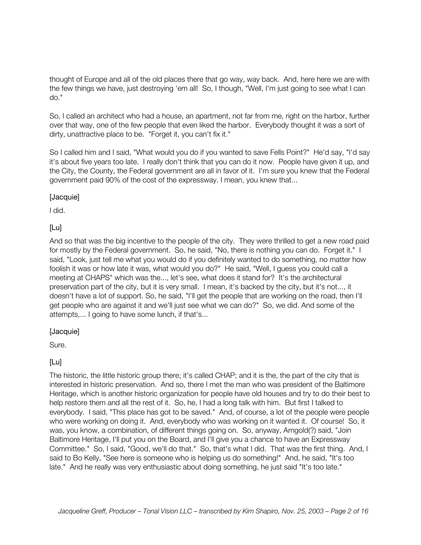thought of Europe and all of the old places there that go way, way back. And, here here we are with the few things we have, just destroying 'em all! So, I though, "Well, I'm just going to see what I can do."

So, I called an architect who had a house, an apartment, not far from me, right on the harbor, further over that way, one of the few people that even liked the harbor. Everybody thought it was a sort of dirty, unattractive place to be. "Forget it, you can't fix it."

So I called him and I said, "What would you do if you wanted to save Fells Point?" He'd say, "I'd say it's about five years too late. I really don't think that you can do it now. People have given it up, and the City, the County, the Federal government are all in favor of it. I'm sure you knew that the Federal government paid 90% of the cost of the expressway. I mean, you knew that...

#### [Jacquie]

I did.

# [Lu]

And so that was the big incentive to the people of the city. They were thrilled to get a new road paid for mostly by the Federal government. So, he said, "No, there is nothing you can do. Forget it." I said, "Look, just tell me what you would do if you definitely wanted to do something, no matter how foolish it was or how late it was, what would you do?" He said, "Well, I guess you could call a meeting at CHAPS" which was the..., let's see, what does it stand for? It's the architectural preservation part of the city, but it is very small. I mean, it's backed by the city, but it's not..., it doesn't have a lot of support. So, he said, "I'll get the people that are working on the road, then I'll get people who are against it and we'll just see what we can do?" So, we did. And some of the attempts,... I going to have some lunch, if that's...

#### [Jacquie]

Sure.

# [Lu]

The historic, the little historic group there; it's called CHAP; and it is the, the part of the city that is interested in historic preservation. And so, there I met the man who was president of the Baltimore Heritage, which is another historic organization for people have old houses and try to do their best to help restore them and all the rest of it. So, he, I had a long talk with him. But first I talked to everybody. I said, "This place has got to be saved." And, of course, a lot of the people were people who were working on doing it. And, everybody who was working on it wanted it. Of course! So, it was, you know, a combination, of different things going on. So, anyway, Arngold(?) said, "Join Baltimore Heritage, I'll put you on the Board, and I'll give you a chance to have an Expressway Committee." So, I said, "Good, we'll do that." So, that's what I did. That was the first thing. And, I said to Bo Kelly, "See here is someone who is helping us do something!" And, he said, "It's too late." And he really was very enthusiastic about doing something, he just said "It's too late."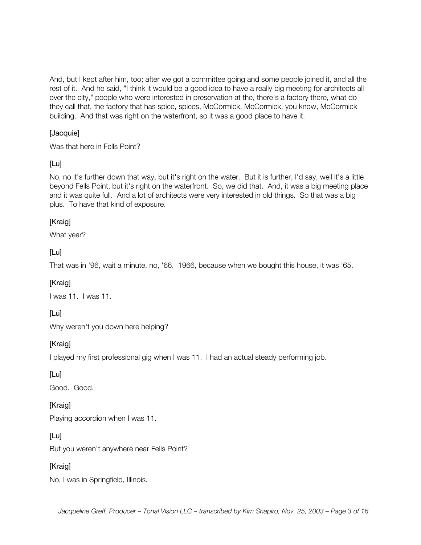And, but I kept after him, too; after we got a committee going and some people joined it, and all the rest of it. And he said, "I think it would be a good idea to have a really big meeting for architects all over the city," people who were interested in preservation at the, there's a factory there, what do they call that, the factory that has spice, spices, McCormick, McCormick, you know, McCormick building. And that was right on the waterfront, so it was a good place to have it.

#### [Jacquie]

Was that here in Fells Point?

#### [Lu]

No, no it's further down that way, but it's right on the water. But it is further, I'd say, well it's a little beyond Fells Point, but it's right on the waterfront. So, we did that. And, it was a big meeting place and it was quite full. And a lot of architects were very interested in old things. So that was a big plus. To have that kind of exposure.

#### [Kraig]

What year?

#### [Lu]

That was in '96, wait a minute, no, '66. 1966, because when we bought this house, it was '65.

#### [Kraig]

I was 11. I was 11.

#### [Lu]

Why weren't you down here helping?

#### [Kraig]

I played my first professional gig when I was 11. I had an actual steady performing job.

#### [Lu]

Good. Good.

#### [Kraig]

Playing accordion when I was 11.

#### [Lu]

But you weren't anywhere near Fells Point?

#### [Kraig]

No, I was in Springfield, Illinois.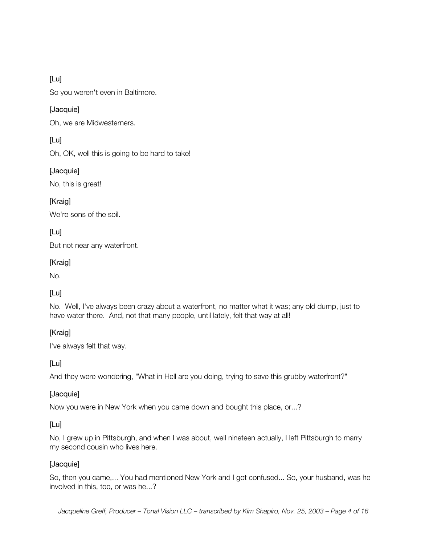So you weren't even in Baltimore.

#### [Jacquie]

Oh, we are Midwesterners.

# [Lu]

Oh, OK, well this is going to be hard to take!

#### [Jacquie]

No, this is great!

# [Kraig]

We're sons of the soil.

[Lu]

But not near any waterfront.

#### [Kraig]

No.

# [Lu]

No. Well, I've always been crazy about a waterfront, no matter what it was; any old dump, just to have water there. And, not that many people, until lately, felt that way at all!

# [Kraig]

I've always felt that way.

[Lu]

And they were wondering, "What in Hell are you doing, trying to save this grubby waterfront?"

#### [Jacquie]

Now you were in New York when you came down and bought this place, or...?

#### [Lu]

No, I grew up in Pittsburgh, and when I was about, well nineteen actually, I left Pittsburgh to marry my second cousin who lives here.

#### [Jacquie]

So, then you came,... You had mentioned New York and I got confused... So, your husband, was he involved in this, too, or was he...?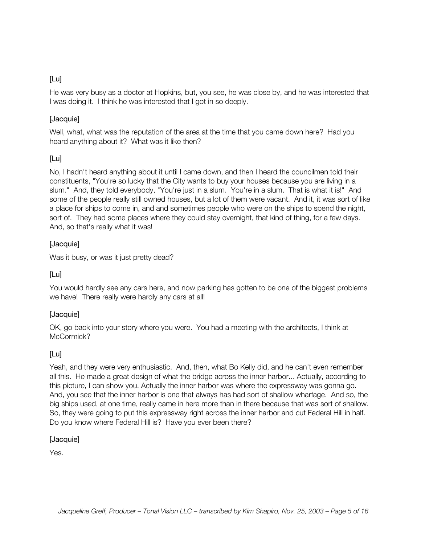He was very busy as a doctor at Hopkins, but, you see, he was close by, and he was interested that I was doing it. I think he was interested that I got in so deeply.

#### [Jacquie]

Well, what, what was the reputation of the area at the time that you came down here? Had you heard anything about it? What was it like then?

# [Lu]

No, I hadn't heard anything about it until I came down, and then I heard the councilmen told their constituents, "You're so lucky that the City wants to buy your houses because you are living in a slum." And, they told everybody, "You're just in a slum. You're in a slum. That is what it is!" And some of the people really still owned houses, but a lot of them were vacant. And it, it was sort of like a place for ships to come in, and and sometimes people who were on the ships to spend the night, sort of. They had some places where they could stay overnight, that kind of thing, for a few days. And, so that's really what it was!

# [Jacquie]

Was it busy, or was it just pretty dead?

# [Lu]

You would hardly see any cars here, and now parking has gotten to be one of the biggest problems we have! There really were hardly any cars at all!

#### [Jacquie]

OK, go back into your story where you were. You had a meeting with the architects, I think at McCormick?

# [Lu]

Yeah, and they were very enthusiastic. And, then, what Bo Kelly did, and he can't even remember all this. He made a great design of what the bridge across the inner harbor... Actually, according to this picture, I can show you. Actually the inner harbor was where the expressway was gonna go. And, you see that the inner harbor is one that always has had sort of shallow wharfage. And so, the big ships used, at one time, really came in here more than in there because that was sort of shallow. So, they were going to put this expressway right across the inner harbor and cut Federal Hill in half. Do you know where Federal Hill is? Have you ever been there?

#### [Jacquie]

Yes.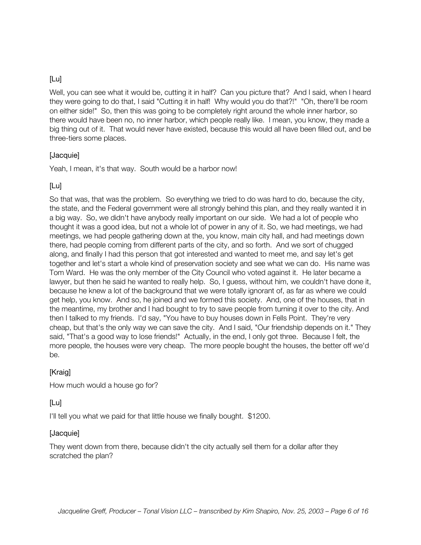Well, you can see what it would be, cutting it in half? Can you picture that? And I said, when I heard they were going to do that, I said "Cutting it in half! Why would you do that?!" "Oh, there'll be room on either side!" So, then this was going to be completely right around the whole inner harbor, so there would have been no, no inner harbor, which people really like. I mean, you know, they made a big thing out of it. That would never have existed, because this would all have been filled out, and be three-tiers some places.

#### [Jacquie]

Yeah, I mean, it's that way. South would be a harbor now!

#### [Lu]

So that was, that was the problem. So everything we tried to do was hard to do, because the city, the state, and the Federal government were all strongly behind this plan, and they really wanted it in a big way. So, we didn't have anybody really important on our side. We had a lot of people who thought it was a good idea, but not a whole lot of power in any of it. So, we had meetings, we had meetings, we had people gathering down at the, you know, main city hall, and had meetings down there, had people coming from different parts of the city, and so forth. And we sort of chugged along, and finally I had this person that got interested and wanted to meet me, and say let's get together and let's start a whole kind of preservation society and see what we can do. His name was Tom Ward. He was the only member of the City Council who voted against it. He later became a lawyer, but then he said he wanted to really help. So, I guess, without him, we couldn't have done it, because he knew a lot of the background that we were totally ignorant of, as far as where we could get help, you know. And so, he joined and we formed this society. And, one of the houses, that in the meantime, my brother and I had bought to try to save people from turning it over to the city. And then I talked to my friends. I'd say, "You have to buy houses down in Fells Point. They're very cheap, but that's the only way we can save the city. And I said, "Our friendship depends on it." They said, "That's a good way to lose friends!" Actually, in the end, I only got three. Because I felt, the more people, the houses were very cheap. The more people bought the houses, the better off we'd be.

#### **[Kraig]**

How much would a house go for?

#### [Lu]

I'll tell you what we paid for that little house we finally bought. \$1200.

#### [Jacquie]

They went down from there, because didn't the city actually sell them for a dollar after they scratched the plan?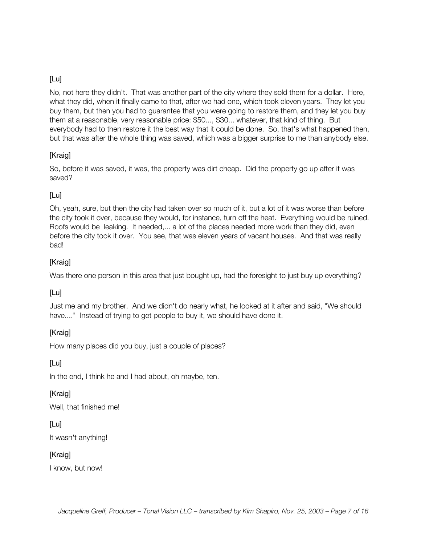No, not here they didn't. That was another part of the city where they sold them for a dollar. Here, what they did, when it finally came to that, after we had one, which took eleven years. They let you buy them, but then you had to guarantee that you were going to restore them, and they let you buy them at a reasonable, very reasonable price: \$50..., \$30... whatever, that kind of thing. But everybody had to then restore it the best way that it could be done. So, that's what happened then, but that was after the whole thing was saved, which was a bigger surprise to me than anybody else.

# [Kraig]

So, before it was saved, it was, the property was dirt cheap. Did the property go up after it was saved?

# [Lu]

Oh, yeah, sure, but then the city had taken over so much of it, but a lot of it was worse than before the city took it over, because they would, for instance, turn off the heat. Everything would be ruined. Roofs would be leaking. It needed,... a lot of the places needed more work than they did, even before the city took it over. You see, that was eleven years of vacant houses. And that was really bad!

#### [Kraig]

Was there one person in this area that just bought up, had the foresight to just buy up everything?

# [Lu]

Just me and my brother. And we didn't do nearly what, he looked at it after and said, "We should have...." Instead of trying to get people to buy it, we should have done it.

# [Kraig]

How many places did you buy, just a couple of places?

[Lu]

In the end, I think he and I had about, oh maybe, ten.

#### [Kraig]

Well, that finished me!

# [Lu]

It wasn't anything!

#### [Kraig]

I know, but now!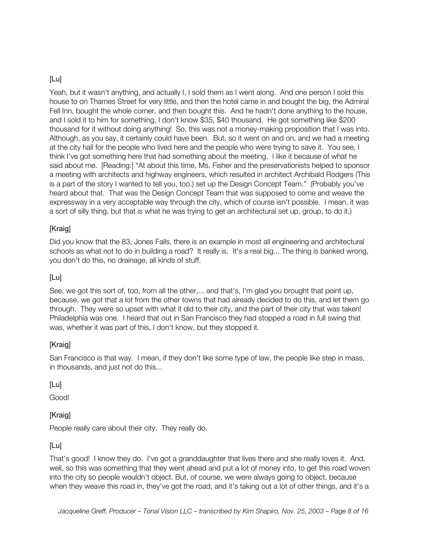Yeah, but it wasn't anything, and actually I, I sold them as I went along. And one person I sold this house to on Thames Street for very little, and then the hotel came in and bought the big, the Admiral Fell Inn, bought the whole corner, and then bought this. And he hadn't done anything to the house, and I sold it to him for something, I don't know \$35, \$40 thousand. He got something like \$200 thousand for it without doing anything! So, this was not a money-making proposition that I was into. Although, as you say, it certainly could have been. But, so it went on and on, and we had a meeting at the city hall for the people who lived here and the people who were trying to save it. You see, I think I've got something here that had something about the meeting. I like it because of what he said about me. [Reading:] "At about this time, Ms. Fisher and the preservationists helped to sponsor a meeting with architects and highway engineers, which resulted in architect Archibald Rodgers (This is a part of the story I wanted to tell you, too.) set up the Design Concept Team." (Probably you've heard about that. That was the Design Concept Team that was supposed to come and weave the expressway in a very acceptable way through the city, which of course isn't possible. I mean, it was a sort of silly thing, but that is what he was trying to get an architectural set up, group, to do it.)

# [Kraig]

Did you know that the 83, Jones Falls, there is an example in most all engineering and architectural schools as what not to do in building a road? It really is. It's a real big... The thing is banked wrong, you don't do this, no drainage, all kinds of stuff.

#### [Lu]

See, we got this sort of, too, from all the other,... and that's, I'm glad you brought that point up, because, we got that a lot from the other towns that had already decided to do this, and let them go through. They were so upset with what it did to their city, and the part of their city that was taken! Philadelphia was one. I heard that out in San Francisco they had stopped a road in full swing that was, whether it was part of this, I don't know, but they stopped it.

#### [Kraig]

San Francisco is that way. I mean, if they don't like some type of law, the people like step in mass, in thousands, and just not do this...

#### [Lu]

Good!

#### [Kraig]

People really care about their city. They really do.

# [Lu]

That's good! I know they do. I've got a granddaughter that lives there and she really loves it. And, well, so this was something that they went ahead and put a lot of money into, to get this road woven into the city so people wouldn't object. But, of course, we were always going to object, because when they weave this road in, they've got the road, and it's taking out a lot of other things, and it's a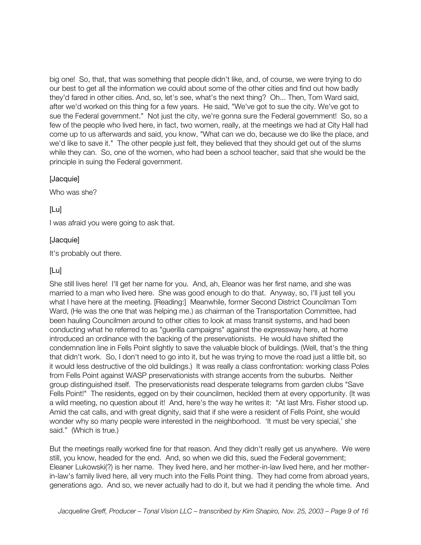big one! So, that, that was something that people didn't like, and, of course, we were trying to do our best to get all the information we could about some of the other cities and find out how badly they'd fared in other cities. And, so, let's see, what's the next thing? Oh... Then, Tom Ward said, after we'd worked on this thing for a few years. He said, "We've got to sue the city. We've got to sue the Federal government." Not just the city, we're gonna sure the Federal government! So, so a few of the people who lived here, in fact, two women, really, at the meetings we had at City Hall had come up to us afterwards and said, you know, "What can we do, because we do like the place, and we'd like to save it." The other people just felt, they believed that they should get out of the slums while they can. So, one of the women, who had been a school teacher, said that she would be the principle in suing the Federal government.

#### [Jacquie]

Who was she?

#### [Lu]

I was afraid you were going to ask that.

#### [Jacquie]

It's probably out there.

#### [Lu]

She still lives here! I'll get her name for you. And, ah, Eleanor was her first name, and she was married to a man who lived here. She was good enough to do that. Anyway, so, I'll just tell you what I have here at the meeting. [Reading:] Meanwhile, former Second District Councilman Tom Ward, (He was the one that was helping me.) as chairman of the Transportation Committee, had been hauling Councilmen around to other cities to look at mass transit systems, and had been conducting what he referred to as "guerilla campaigns" against the expressway here, at home introduced an ordinance with the backing of the preservationists. He would have shifted the condemnation line in Fells Point slightly to save the valuable block of buildings. (Well, that's the thing that didn't work. So, I don't need to go into it, but he was trying to move the road just a little bit, so it would less destructive of the old buildings.) It was really a class confrontation: working class Poles from Fells Point against WASP preservationists with strange accents from the suburbs. Neither group distinguished itself. The preservationists read desperate telegrams from garden clubs "Save Fells Point!" The residents, egged on by their councilmen, heckled them at every opportunity. (It was a wild meeting, no question about it! And, here's the way he writes it: "At last Mrs. Fisher stood up. Amid the cat calls, and with great dignity, said that if she were a resident of Fells Point, she would wonder why so many people were interested in the neighborhood. 'It must be very special,' she said." (Which is true.)

But the meetings really worked fine for that reason. And they didn't really get us anywhere. We were still, you know, headed for the end. And, so when we did this, sued the Federal government; Eleaner Lukowski(?) is her name. They lived here, and her mother-in-law lived here, and her motherin-law's family lived here, all very much into the Fells Point thing. They had come from abroad years, generations ago. And so, we never actually had to do it, but we had it pending the whole time. And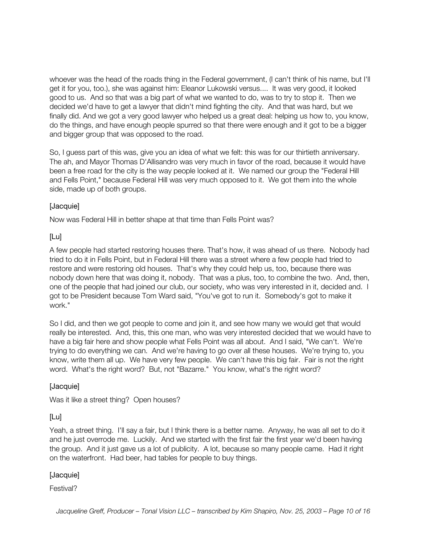whoever was the head of the roads thing in the Federal government, (I can't think of his name, but I'll get it for you, too.), she was against him: Eleanor Lukowski versus.... It was very good, it looked good to us. And so that was a big part of what we wanted to do, was to try to stop it. Then we decided we'd have to get a lawyer that didn't mind fighting the city. And that was hard, but we finally did. And we got a very good lawyer who helped us a great deal: helping us how to, you know, do the things, and have enough people spurred so that there were enough and it got to be a bigger and bigger group that was opposed to the road.

So, I guess part of this was, give you an idea of what we felt: this was for our thirtieth anniversary. The ah, and Mayor Thomas D'Allisandro was very much in favor of the road, because it would have been a free road for the city is the way people looked at it. We named our group the "Federal Hill and Fells Point," because Federal Hill was very much opposed to it. We got them into the whole side, made up of both groups.

#### [Jacquie]

Now was Federal Hill in better shape at that time than Fells Point was?

#### [Lu]

A few people had started restoring houses there. That's how, it was ahead of us there. Nobody had tried to do it in Fells Point, but in Federal Hill there was a street where a few people had tried to restore and were restoring old houses. That's why they could help us, too, because there was nobody down here that was doing it, nobody. That was a plus, too, to combine the two. And, then, one of the people that had joined our club, our society, who was very interested in it, decided and. I got to be President because Tom Ward said, "You've got to run it. Somebody's got to make it work."

So I did, and then we got people to come and join it, and see how many we would get that would really be interested. And, this, this one man, who was very interested decided that we would have to have a big fair here and show people what Fells Point was all about. And I said, "We can't. We're trying to do everything we can. And we're having to go over all these houses. We're trying to, you know, write them all up. We have very few people. We can't have this big fair. Fair is not the right word. What's the right word? But, not "Bazarre." You know, what's the right word?

#### [Jacquie]

Was it like a street thing? Open houses?

#### [Lu]

Yeah, a street thing. I'll say a fair, but I think there is a better name. Anyway, he was all set to do it and he just overrode me. Luckily. And we started with the first fair the first year we'd been having the group. And it just gave us a lot of publicity. A lot, because so many people came. Had it right on the waterfront. Had beer, had tables for people to buy things.

#### [Jacquie]

#### Festival?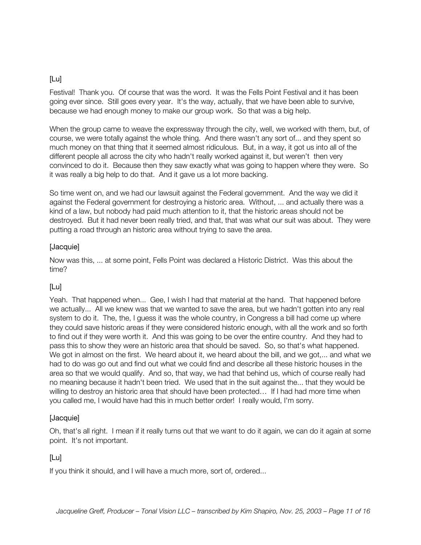Festival! Thank you. Of course that was the word. It was the Fells Point Festival and it has been going ever since. Still goes every year. It's the way, actually, that we have been able to survive, because we had enough money to make our group work. So that was a big help.

When the group came to weave the expressway through the city, well, we worked with them, but, of course, we were totally against the whole thing. And there wasn't any sort of... and they spent so much money on that thing that it seemed almost ridiculous. But, in a way, it got us into all of the different people all across the city who hadn't really worked against it, but weren't then very convinced to do it. Because then they saw exactly what was going to happen where they were. So it was really a big help to do that. And it gave us a lot more backing.

So time went on, and we had our lawsuit against the Federal government. And the way we did it against the Federal government for destroying a historic area. Without, ... and actually there was a kind of a law, but nobody had paid much attention to it, that the historic areas should not be destroyed. But it had never been really tried, and that, that was what our suit was about. They were putting a road through an historic area without trying to save the area.

#### [Jacquie]

Now was this, ... at some point, Fells Point was declared a Historic District. Was this about the time?

# [Lu]

Yeah. That happened when... Gee, I wish I had that material at the hand. That happened before we actually... All we knew was that we wanted to save the area, but we hadn't gotten into any real system to do it. The, the, I guess it was the whole country, in Congress a bill had come up where they could save historic areas if they were considered historic enough, with all the work and so forth to find out if they were worth it. And this was going to be over the entire country. And they had to pass this to show they were an historic area that should be saved. So, so that's what happened. We got in almost on the first. We heard about it, we heard about the bill, and we got,... and what we had to do was go out and find out what we could find and describe all these historic houses in the area so that we would qualify. And so, that way, we had that behind us, which of course really had no meaning because it hadn't been tried. We used that in the suit against the... that they would be willing to destroy an historic area that should have been protected… If I had had more time when you called me, I would have had this in much better order! I really would, I'm sorry.

#### [Jacquie]

Oh, that's all right. I mean if it really turns out that we want to do it again, we can do it again at some point. It's not important.

# [Lu]

If you think it should, and I will have a much more, sort of, ordered...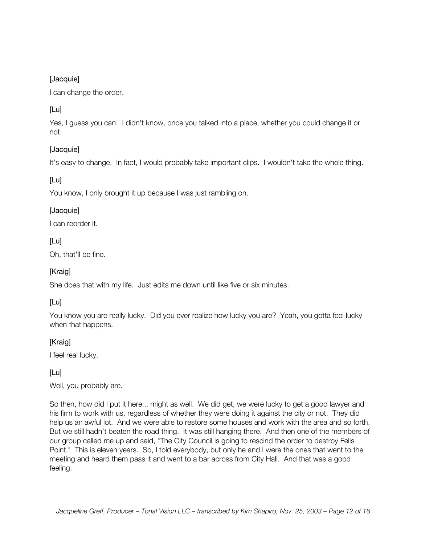#### [Jacquie]

I can change the order.

# [Lu]

Yes, I guess you can. I didn't know, once you talked into a place, whether you could change it or not.

# [Jacquie]

It's easy to change. In fact, I would probably take important clips. I wouldn't take the whole thing.

# [Lu]

You know, I only brought it up because I was just rambling on.

# [Jacquie]

I can reorder it.

# [Lu]

Oh, that'll be fine.

#### [Kraig]

She does that with my life. Just edits me down until like five or six minutes.

# [Lu]

You know you are really lucky. Did you ever realize how lucky you are? Yeah, you gotta feel lucky when that happens.

# [Kraig]

I feel real lucky.

#### [Lu]

Well, you probably are.

So then, how did I put it here... might as well. We did get, we were lucky to get a good lawyer and his firm to work with us, regardless of whether they were doing it against the city or not. They did help us an awful lot. And we were able to restore some houses and work with the area and so forth. But we still hadn't beaten the road thing. It was still hanging there. And then one of the members of our group called me up and said, "The City Council is going to rescind the order to destroy Fells Point." This is eleven years. So, I told everybody, but only he and I were the ones that went to the meeting and heard them pass it and went to a bar across from City Hall. And that was a good feeling.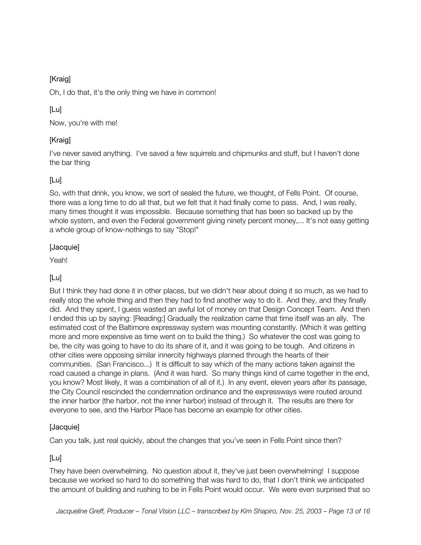# [Kraig]

Oh, I do that, it's the only thing we have in common!

# [Lu]

Now, you're with me!

# [Kraig]

I've never saved anything. I've saved a few squirrels and chipmunks and stuff, but I haven't done the bar thing

# [Lu]

So, with that drink, you know, we sort of sealed the future, we thought, of Fells Point. Of course, there was a long time to do all that, but we felt that it had finally come to pass. And, I was really, many times thought it was impossible. Because something that has been so backed up by the whole system, and even the Federal government giving ninety percent money,... It's not easy getting a whole group of know-nothings to say "Stop!"

# [Jacquie]

Yeah!

# [Lu]

But I think they had done it in other places, but we didn't hear about doing it so much, as we had to really stop the whole thing and then they had to find another way to do it. And they, and they finally did. And they spent, I guess wasted an awful lot of money on that Design Concept Team. And then I ended this up by saying: [Reading:] Gradually the realization came that time itself was an ally. The estimated cost of the Baltimore expressway system was mounting constantly. (Which it was getting more and more expensive as time went on to build the thing.) So whatever the cost was going to be, the city was going to have to do its share of it, and it was going to be tough. And citizens in other cities were opposing similar innercity highways planned through the hearts of their communities. (San Francisco...) It is difficult to say which of the many actions taken against the road caused a change in plans. (And it was hard. So many things kind of came together in the end, you know? Most likely, it was a combination of all of it.) In any event, eleven years after its passage, the City Council rescinded the condemnation ordinance and the expressways were routed around the inner harbor (the harbor, not the inner harbor) instead of through it. The results are there for everyone to see, and the Harbor Place has become an example for other cities.

# [Jacquie]

Can you talk, just real quickly, about the changes that you've seen in Fells Point since then?

# [Lu]

They have been overwhelming. No question about it, they've just been overwhelming! I suppose because we worked so hard to do something that was hard to do, that I don't think we anticipated the amount of building and rushing to be in Fells Point would occur. We were even surprised that so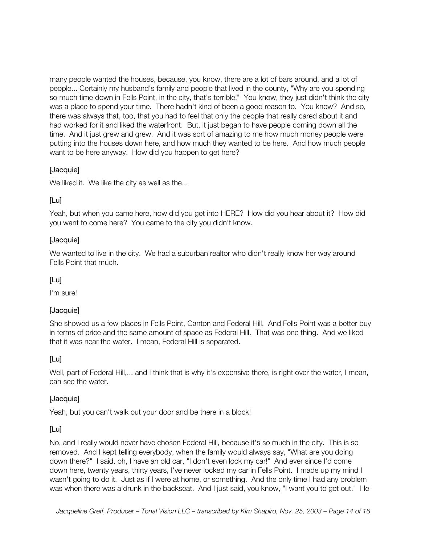many people wanted the houses, because, you know, there are a lot of bars around, and a lot of people... Certainly my husband's family and people that lived in the county, "Why are you spending so much time down in Fells Point, in the city, that's terrible!" You know, they just didn't think the city was a place to spend your time. There hadn't kind of been a good reason to. You know? And so, there was always that, too, that you had to feel that only the people that really cared about it and had worked for it and liked the waterfront. But, it just began to have people coming down all the time. And it just grew and grew. And it was sort of amazing to me how much money people were putting into the houses down here, and how much they wanted to be here. And how much people want to be here anyway. How did you happen to get here?

#### [Jacquie]

We liked it. We like the city as well as the...

#### [Lu]

Yeah, but when you came here, how did you get into HERE? How did you hear about it? How did you want to come here? You came to the city you didn't know.

#### [Jacquie]

We wanted to live in the city. We had a suburban realtor who didn't really know her way around Fells Point that much.

#### [Lu]

I'm sure!

#### [Jacquie]

She showed us a few places in Fells Point, Canton and Federal Hill. And Fells Point was a better buy in terms of price and the same amount of space as Federal Hill. That was one thing. And we liked that it was near the water. I mean, Federal Hill is separated.

#### [Lu]

Well, part of Federal Hill,... and I think that is why it's expensive there, is right over the water, I mean, can see the water.

#### [Jacquie]

Yeah, but you can't walk out your door and be there in a block!

#### [Lu]

No, and I really would never have chosen Federal Hill, because it's so much in the city. This is so removed. And I kept telling everybody, when the family would always say, "What are you doing down there?" I said, oh, I have an old car, "I don't even lock my car!" And ever since I'd come down here, twenty years, thirty years, I've never locked my car in Fells Point. I made up my mind I wasn't going to do it. Just as if I were at home, or something. And the only time I had any problem was when there was a drunk in the backseat. And I just said, you know, "I want you to get out." He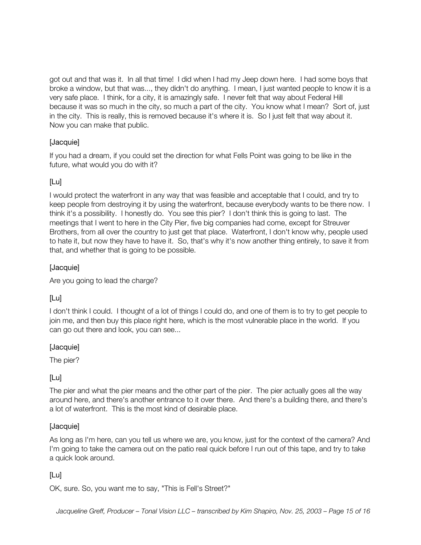got out and that was it. In all that time! I did when I had my Jeep down here. I had some boys that broke a window, but that was..., they didn't do anything. I mean, I just wanted people to know it is a very safe place. I think, for a city, it is amazingly safe. I never felt that way about Federal Hill because it was so much in the city, so much a part of the city. You know what I mean? Sort of, just in the city. This is really, this is removed because it's where it is. So I just felt that way about it. Now you can make that public.

# [Jacquie]

If you had a dream, if you could set the direction for what Fells Point was going to be like in the future, what would you do with it?

# [Lu]

I would protect the waterfront in any way that was feasible and acceptable that I could, and try to keep people from destroying it by using the waterfront, because everybody wants to be there now. I think it's a possibility. I honestly do. You see this pier? I don't think this is going to last. The meetings that I went to here in the City Pier, five big companies had come, except for Streuver Brothers, from all over the country to just get that place. Waterfront, I don't know why, people used to hate it, but now they have to have it. So, that's why it's now another thing entirely, to save it from that, and whether that is going to be possible.

# [Jacquie]

Are you going to lead the charge?

# [Lu]

I don't think I could. I thought of a lot of things I could do, and one of them is to try to get people to join me, and then buy this place right here, which is the most vulnerable place in the world. If you can go out there and look, you can see...

#### [Jacquie]

The pier?

# [Lu]

The pier and what the pier means and the other part of the pier. The pier actually goes all the way around here, and there's another entrance to it over there. And there's a building there, and there's a lot of waterfront. This is the most kind of desirable place.

#### [Jacquie]

As long as I'm here, can you tell us where we are, you know, just for the context of the camera? And I'm going to take the camera out on the patio real quick before I run out of this tape, and try to take a quick look around.

#### [Lu]

OK, sure. So, you want me to say, "This is Fell's Street?"